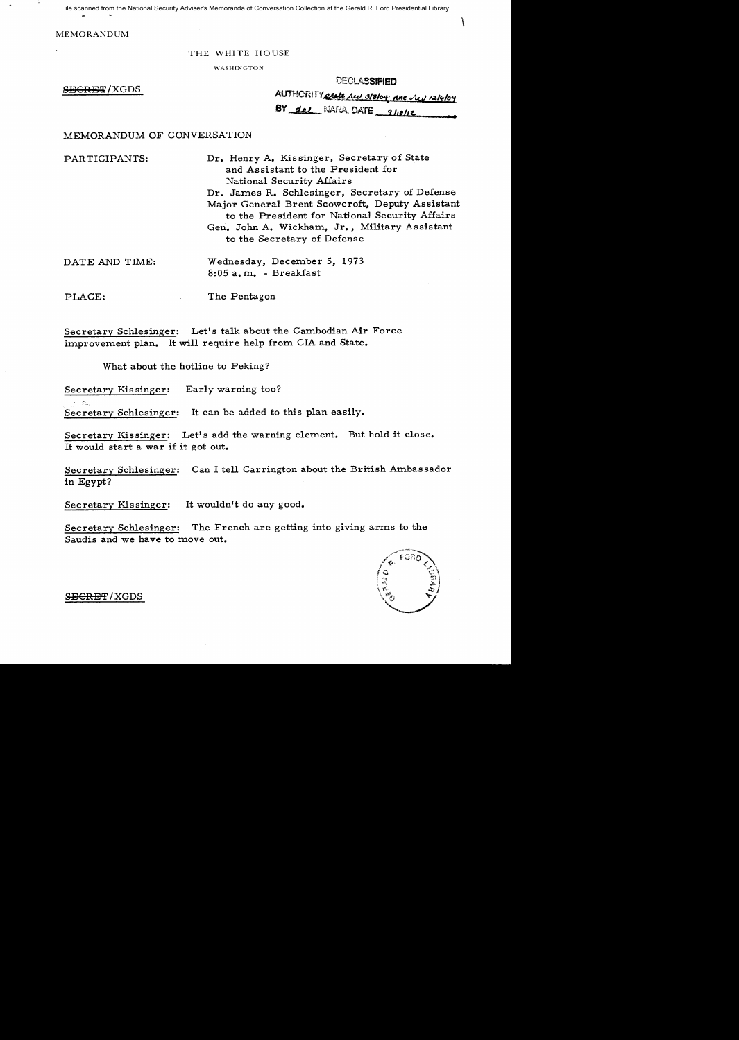File scanned from the National Security Adviser's Memoranda of Conversation Collection at the Gerald R. Ford Presidential Library

MEMORANDUM

#### THE WHITE HOUSE

WASHINGTON

| <b>DECLASSIFIED</b> |  |
|---------------------|--|
|---------------------|--|

 $\ddot{\phantom{0}}$ 

| <del>SECRET</del> / XGDS | AUTHORITY afate hell 318/04 RAC lev 1216/04 |
|--------------------------|---------------------------------------------|
|                          | BY <u>dal</u> NARA, DATE 9/10/12            |

#### MEMORANDUM OF CONVERSATION

PARTICIPANTS: Dr. Henry A. Kissinger, Secretary of State and Assistant to the President for National Security Affairs Dr. James R. Schlesinger, Secretary of Defense Major General Brent Scowcroft, Deputy Assistant to the President for National Security Affairs Gen. John A. Wickham, Jr., Military Assistant to the Secretary of Defense

| DATE AND TIME: | Wednesday, December 5, 1973 |
|----------------|-----------------------------|
|                | $8:05$ a.m. - Breakfast     |
|                |                             |

PLACE: The Pentagon

Secretary Schlesinger: Let's talk about the Cambodian Air Force improvement plan. It will require help from CIA and State.

What about the hotline to Peking?

Secretary Kissinger: Early warning too?

Secretary Schlesinger: It can be added to this plan easily.

Secretary Kissinger: Let's add the warning element. But hold it close. It would start a war if it got out.

Secretary Schlesinger: Can I tell Carrington about the British Ambassador in Egypt?

Secretary Kissinger: It wouldn't do any good.

Secretary Schlesinger: The French are getting into giving arms to the Saudis and we have to move out.



SECRET/XGDS

 $\gamma_1$   $\gamma_2$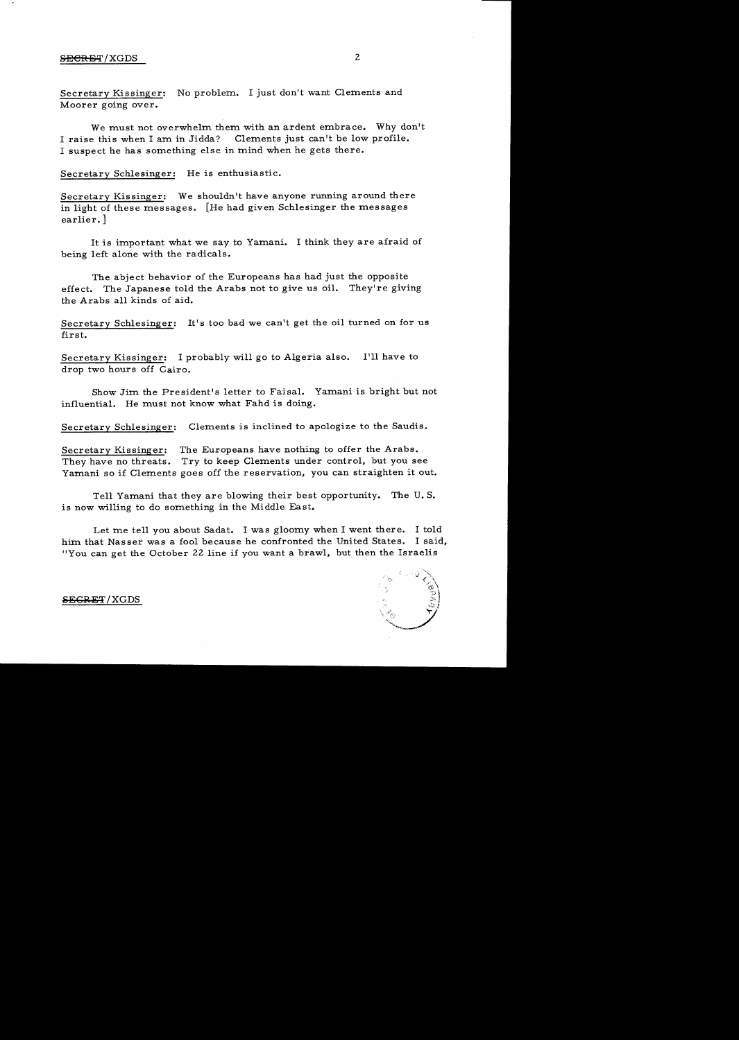### **SECRET**/XGDS 2

Secretary Kissinger: No problem. I just don't want Clements and Moorer going over.

We must not overwhelm them with an ardent embrace. Why don't I raise this when I am in Jidda? Clements just can't be low profile. I suspect he has something else in mind when he gets there.

Secretary Schlesinger: He is enthusiastic.

Secretary Kissinger: We shouldn't have anyone running around there in light of these messages. [He had given Schlesinger the messages earlier.]

It is important what we say to Yamani. I think they are afraid of being left alone with the radicals.

The abject behavior of the Europeans has had just the opposite effect. The Japanese told the Arabs not to give us oil. They're giving the Arabs all kinds of aid.

Secretary Schlesinger: It's too bad we can't get the oil turned on for us first.

Secretary Kissinger: I probably will go to Algeria also. I'll have to drop two hours off Cairo.

Show Jim the President's letter to Faisal. Yamani is bright but not influential. He must not know what Fahd is doing.

Secretary Schlesinger: Clements is inclined to apologize to the Saudis.

Secretary Kissinger: The Europeans have nothing to offer the Arabs. They have no threats. Try to keep Clements under control, but you see Yamani so if Clements goes off the reservation, you can straighten it out.

Tell Yamani that they are blowing their best opportunity. The U.S. is now willing to do something in the Middle East.

Let me tell you about Sadat. I was gloomy when I went there. I told him that Nasser was a fool because he confronted the United States. I said, "You can get the October 22 line if you want a brawl, but then the Israelis



#### $S_{\rm EGRET}$  /  ${\rm XGDS}$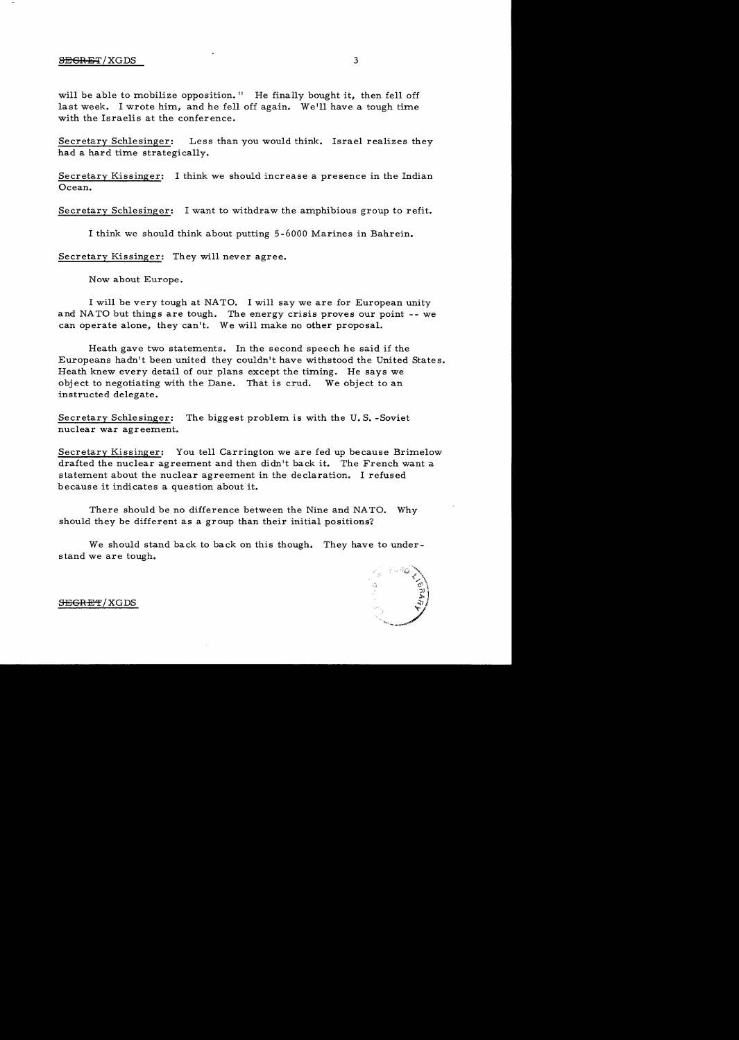#### SEGRET/XGDS 3

will be able to mobilize opposition." He finally bought it, then fell off last week. I wrote him, and he fell off again. We'll have a tough time with the Israelis at the conference.

Secretary Schlesinger: Less than you would think. Israel realizes they had a hard time strategically.

Secretary Kissinger: I think we should increase a presence in the Indian Ocean.

Secretary Schlesinger: I want to withdraw the amphibious group to refit.

I think we should think about putting 5-6000 Marines in Bahrein.

Secretary Kissinger: They will never agree.

Now about Europe.

I will be very tough at NATO. I will say we are for European unity and NATO but things are tough. The energy crisis proves our point -- we can operate alone, they can't. We will make no other proposal.

Heath gave two statements. In the second speech he said if the Europeans hadn't been united they couldn't have withstood the United States. Heath knew every detail of our plans except the timing. He says we object to negotiating with the Dane. That is crud. We object to an instructed delegate.

Secretary Schlesinger: The biggest problem is with the U.S. -Soviet nuclear war agreement.

Secretary Kissinger: You tell Carrington we are fed up because Brimelow drafted the nuclear agreement and then didn't back it. The French want a statement about the nuclear agreement in the declaration. I refused because it indicates a question about it.

There should be no difference between the Nine and NATO. Why should they be different as a group than their initial positions'?

We should stand back to back on this though. They have to understand we are tough.



#### S<del>EGRET</del>/XGDS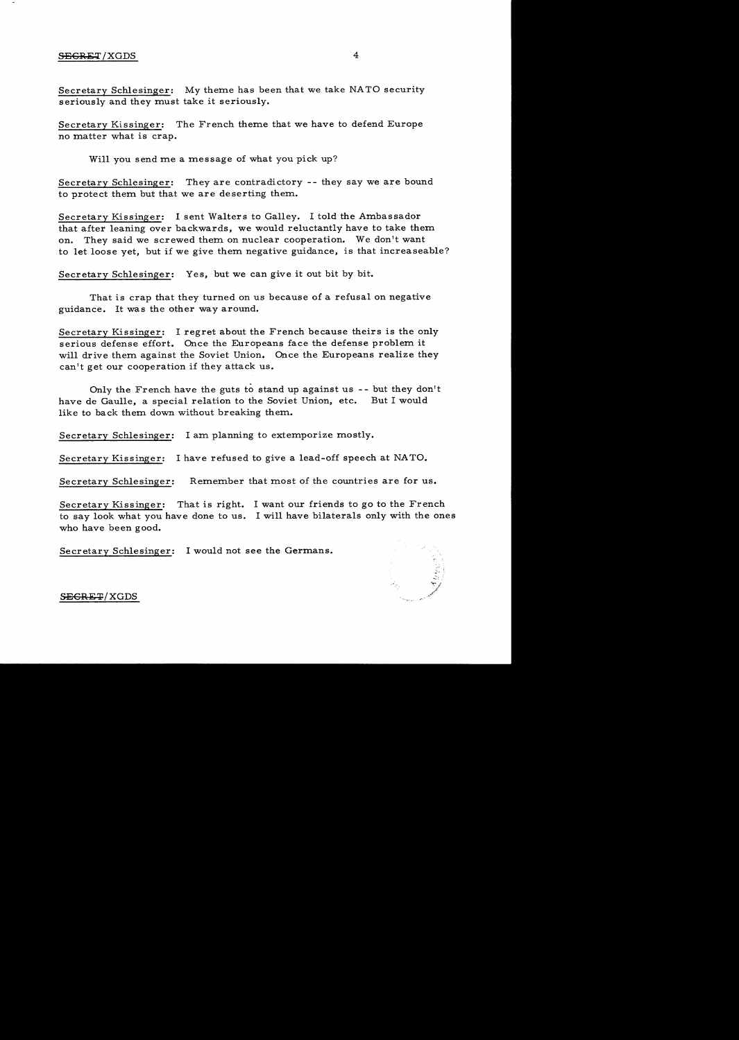Secretary Schlesinger: My theme has been that we take NATO security seriously and they must take it seriously.

Secretary Kissinger: The French theme that we have to defend Europe no matter what is crap.

Will you send me a message of what you pick up?

Secretary Schlesinger: They are contradictory -- they say we are bound to protect them but that we are deserting them.

Secretary Kissinger: I sent Walters to Galley. I told the Ambassador that after leaning over backwards, we would reluctantly have to take them on. They said we screwed them on nuclear cooperation. We don't want to let loose yet, but if we give them negative guidance, is that increaseable?

Secretary Schlesinger: Yes, but we can give it out bit by bit.

That is crap that they turned on us because of a refusal on negative guidance. It was the other way around.

Secretary Kissinger: I regret about the French because theirs is the only serious defense effort. Once the Europeans face the defense problem it will drive them against the Soviet Union. Once the Europeans realize they can't get our cooperation if they attack us.

Only the French have the guts to stand up against us -- but they don't have de Gaulle, a special relation to the Soviet Union, etc. But I would like to back them down without breaking them.

Secretary Schlesinger: I am planning to extemporize mostly.

Secretary Kissinger: I have refused to give a lead-off speech at NATO.

Secretary Schlesinger: Remember that most of the countries are for us.

Secretary Kissinger: That is right. I want our friends to go to the French to say look what you have done to us. I will have bilaterals only with the ones who have been good.

Secretary Schlesinger: I would not see the Germans.



SEGRET/XGDS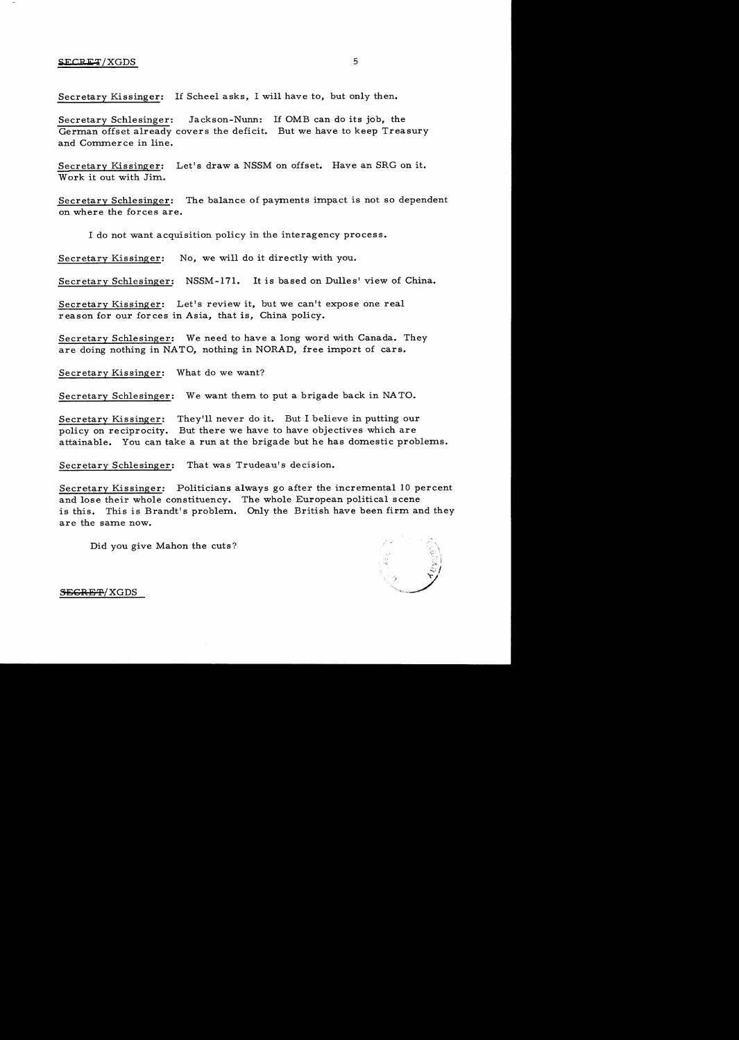Secretary Kissinger: If Scheel asks, I will have to, but only then.

Secretary Schlesinger: German offset already covers the deficit. But we have to keep Treasury and Commerce in line. Jackson-Nunn: If OMB can do its job, the

Secretary Kissinger: Let's draw a NSSM on offset. Have an SRG on it. Work it out with Jim.

Secretary Schlesinger: The balance of payments impact is not so dependent on where the forces are.

I do not want acquisition policy in the interagency process.

Secretary Kissinger: No, we will do it directly with you.

Secretary Schlesinger: NSSM-171. It is based on Dulles' view of China.

Secretary Kissinger: Let's review it, but we can't expose one real reason for our forces in Asia, that is, China policy.

Secretary Schlesinger: We need to have a long word with Canada. They are doing nothing in NATO, nothing in NORAD, free import of cars.

Secretary Kissinger: What do we want?

Secretary Schlesinger: We want them to put a brigade back in NATO.

Secretary Kissinger: They'll never do it. But I believe in putting our policy on reciprocity. But there we have to have objectives which are attainable. You can take a run at the brigade but he has domestic problems.

Secretary Schlesinger: That was Trudeau's decision.

Secretary Kissinger: Politicians always go after the incremental 10 percent and lose their whole constituency. The whole European political scene is this. This is Brandt's problem. Only the British have been firm and they are the same now.

Did you give Mahon the cuts?



**SEGRET/XGDS**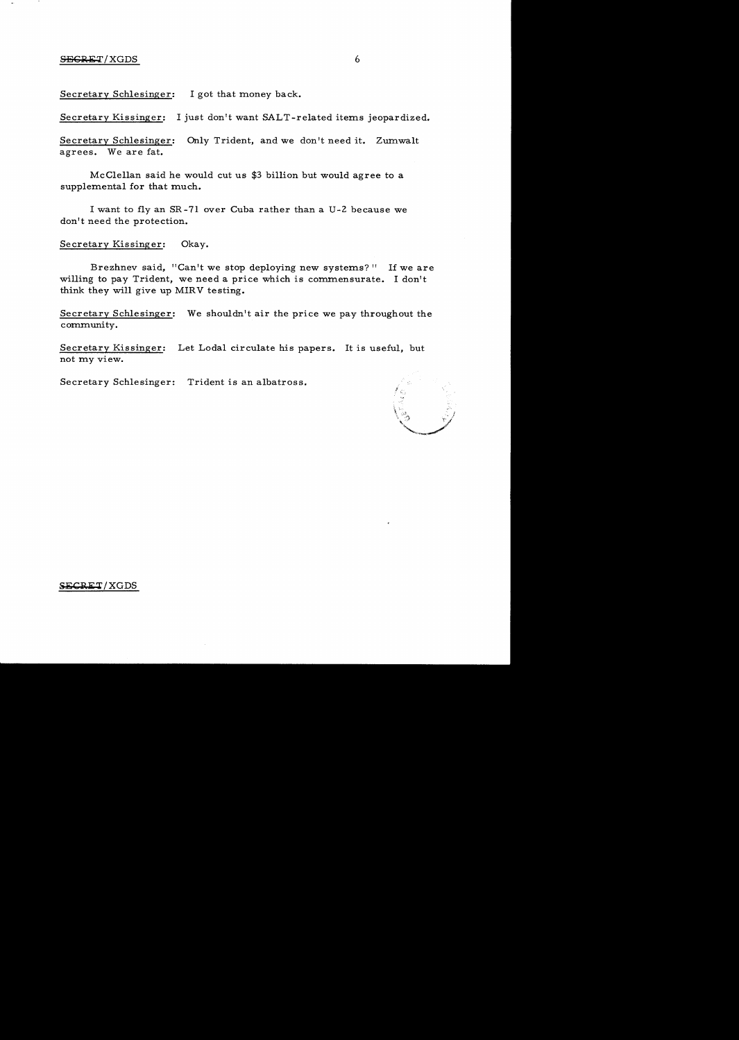#### $SEGRET/XGDS$  6

Secretary Schlesinger: I got that money back.

Secretary Kissinger: I just don't want SALT-related items jeopardized.

Secretary Schlesinger: Only Trident, and we don't need it. Zumwalt agrees. We are fat.

McClellan said he would cut us \$3 billion but would agree to a supplemental for that much.

I want to fly an SR -71 over Cuba rather than a U -2 because we don't need the protection.

Secretary Kissinger: Okay.

Brezhnev said, "Can't we stop deploying new systems?" If we are willing to pay Trident, we need a price which is commensurate. I don't think they will give up MIRV testing.

Secretary Schlesinger: We shouldn't air the price we pay throughout the community.

Secretary Kissinger: Let Lodal circulate his papers. It is useful, but not my view.

Secretary Schlesinger: Trident is an albatross.

\,; I  $\downarrow$  ,  $\downarrow$  ,  $\downarrow$ '"-=\_/'if"

#### SECRET/XGDS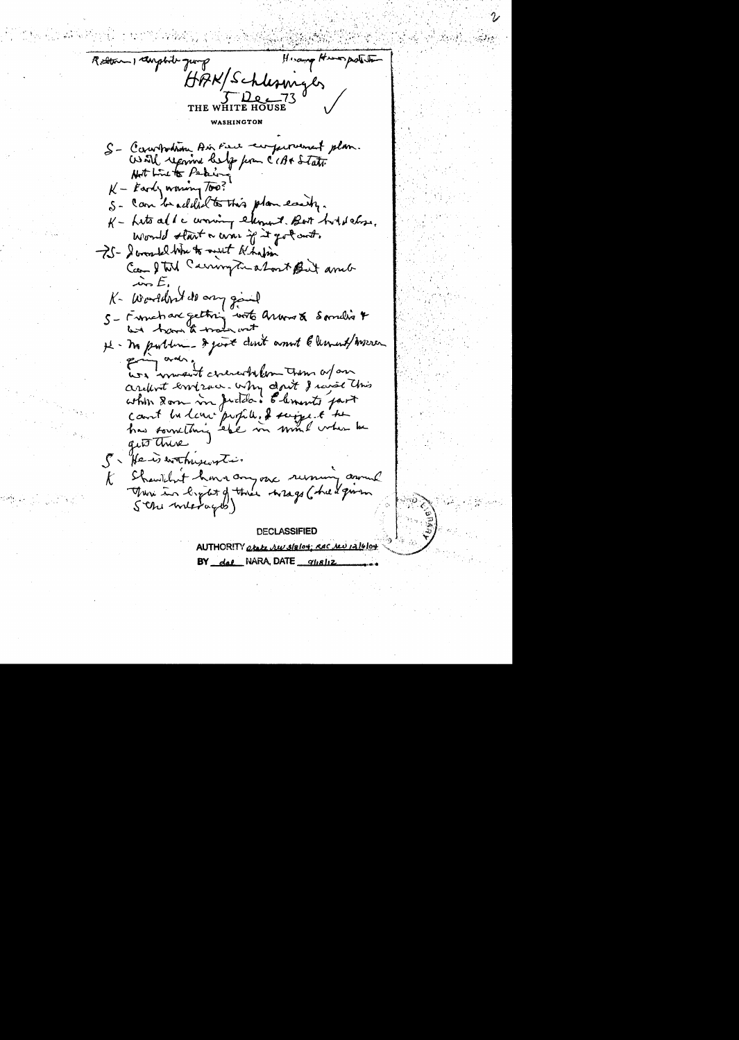Hisamp Humpshita Retter 1 daybout quing HAK/Schlesmyls ے قبل THE. WASHINGTON S- Campodion Air Fire comperanced plan. World reported belief from CCB+ State Not Live to Peter  $K -$  Early warmy Too? S- can be addit to this plan easily. K - Lito ald a woning element. But hold chose, Would start a war if it got out. -25 - I won tel Whe to must like fin Can I tol Carrington about But and  $\overline{\mathcal{L}}$ K- Worldn't do any gaint S - Franchard getting with arrows & Samelin 4 H - In public - I just don't anot & lement/ Weren pring and one of concrete from them a far arefort emison why don't I raise this which Dom in Judda. Elements part count bu love profile. I suggest the has something ebe in mind when he gits there 5. He is withuswrite. Showithat have anyone running annual  $\mathcal{K}$ There in light of the wrage ( he & grown Sthe metages)

**DECLASSIFIED** AUTHORITY atate ru slalot: RAC red 12/6/04 BY dal NARA, DATE glisliz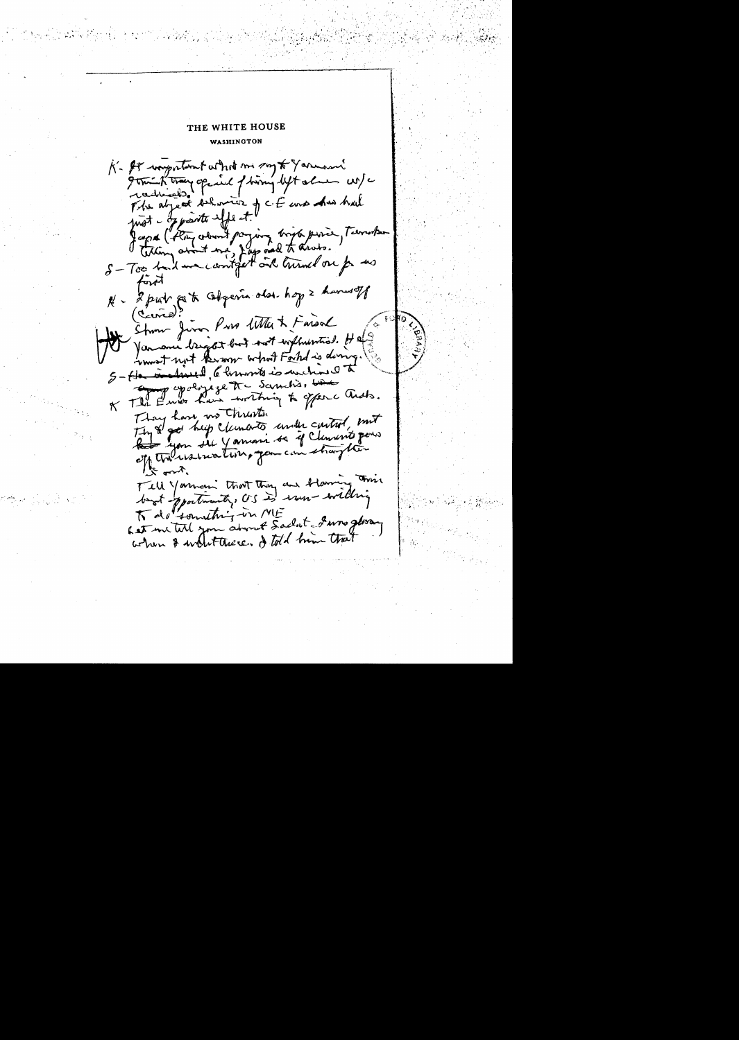THE WHITE HOUSE WASHINGTON K- It wasportant what me say to Yarmon grant troughout of him lytale and The abject entrance of cit une due had fagot ("they alwayst paying bright porce, Terrorhan S-Too had me contract and turned on for us fort N - 2 put est Objevir dos hop 2 haveret Strom Juno Pros With & Faroal Varmonie bright but took withwartis. He won't not known what Forted is doing. 5- He included, 6 known is unchined to En papagre tre Samitis, bien of The Ends have writing to offerc ands. They have, no thrists. They a got help clements under curties, mit Red you de Yamani sa if Clancert pour of the usualing you can sharp this バック Tell Youncin that they are blaming This boot portunity, CS is run willing Let me tell you about Sadat I was gloran when I wintterede. I told him that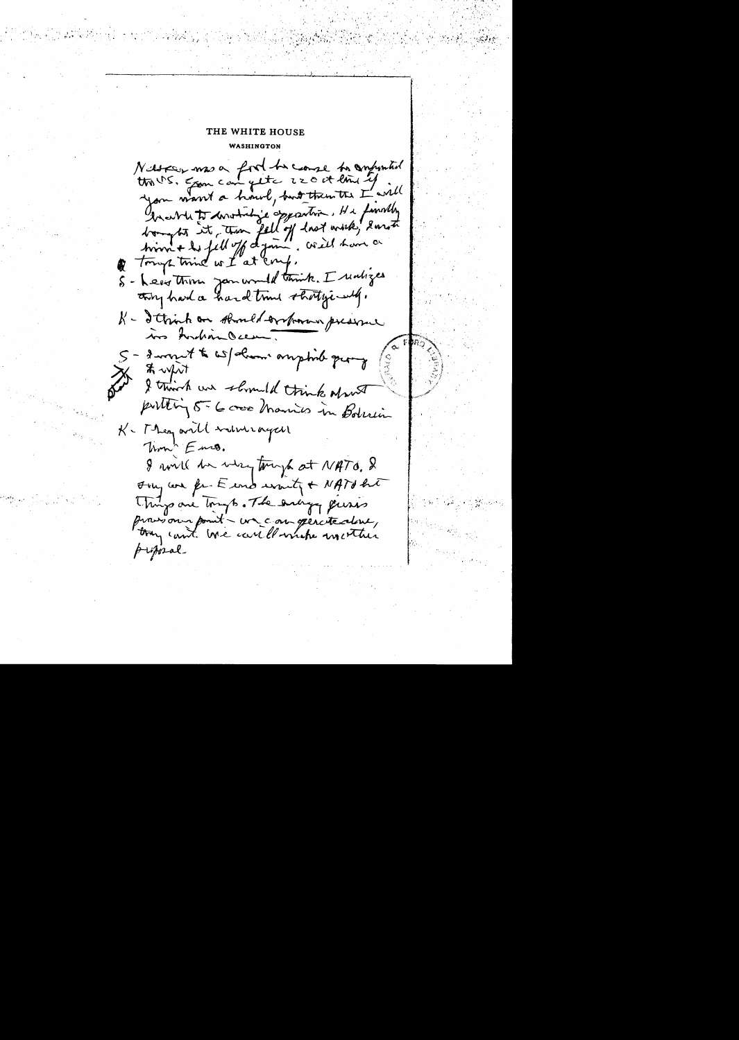## THE WHITE HOUSE WASHINGTON

Nassau mas a food to couse to confunction contrato conventions opposition, He funnity bought it time fell of hast work, 2 mot time + to fell of dynn, will have a of tony time we I at coup. S - Leave Thom Januard think. I realizes they had a hard trine stratyping. K - I think on should ordrown preserve ins Andian Ocean 5 - group t to wat denne amptide query to upit public 5-6 cross Marines in Bolisin K - They will inturaged Thom' Ens. 8 will be very tough at NATO. & Jony was for E end wonty + NATO het Things are tough. The enligy quins massion point - un con genetedene, try can't we careflomate meether proposal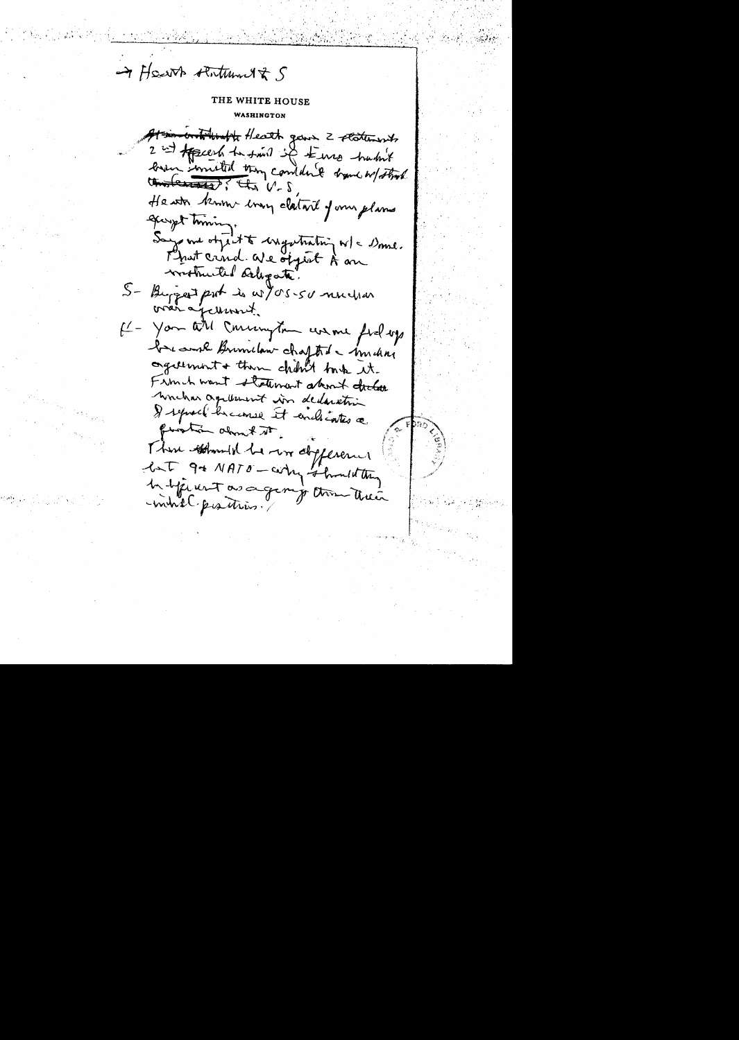-> Heart statement & S

Ation with the fleath gave 2 statements 2 int Appears to saint it terms hastit lower wonsted they complied tranch of that understand? the V-S Heath know long clatare of my planes garyst timing. Says me object to ingestrating w/c Dome. worthwited deligate. S- Burger port is w/05-50 muchas was aperment.  $f'$ - You all Conservation was me fiel up be work Brunclan chapted - imden againment + then child took it. Firm h want statement about declare worker agrituurt in declaration & represent because it enclosed finishin along to it. There there he was deplerent but 9 + NATO - carry should they In signest as a geoming them their -mindle peastress.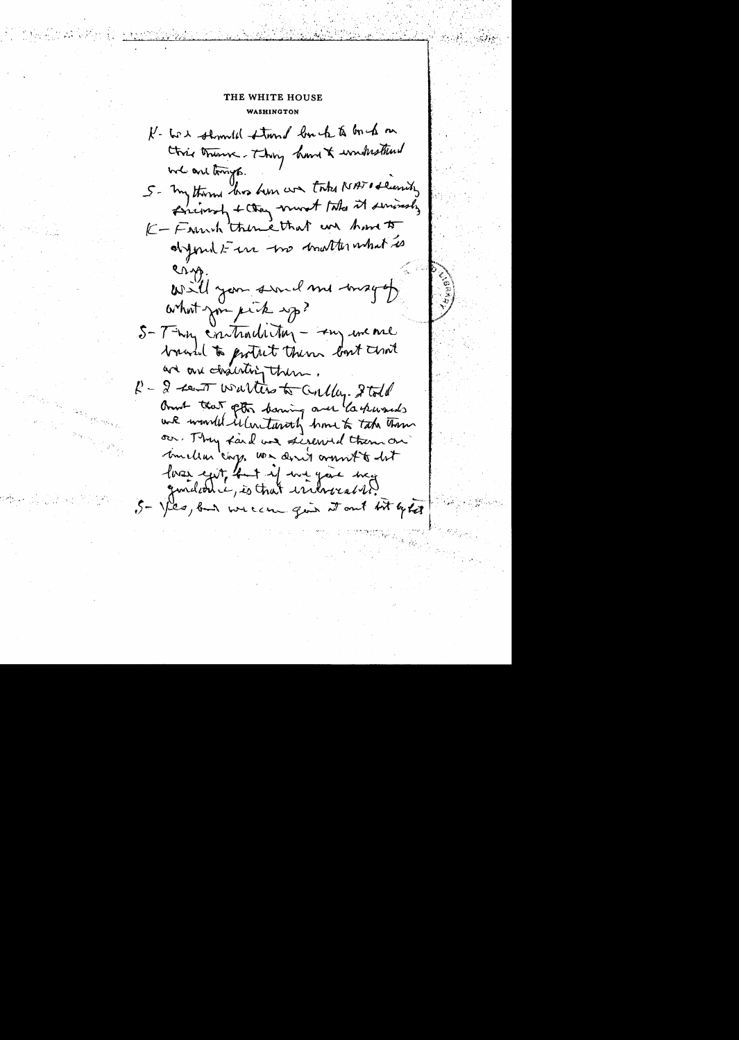**WASHINGTON** K- to & should stand louch to buch on Ctric trume- Thing hand & wonderstand we are tryp. 5- my thorn this him we take NATI deciding Environt + they must take it seriously K-Farrish themethat are home to digered to the two mother what is Cryp will you sund me maget what you pick up? 5-Thy contradition - In we are branched to protect them bout chat and are chairting them.  $k-2$  ten wallers to calley. I told And that pto baring over laskwards wik would illustantly home to take them our. They faid we sigewed them on million cinq. We don't ormout to lot loves exit, but if we gave may granded e, is that indrocal it. 5- yes, but we can go to out bit lets

 $\sum_{i=1}^n \frac{1}{\sum_{i=1}^n \frac{1}{\sum_{i=1}^n \frac{1}{\sum_{i=1}^n \frac{1}{\sum_{i=1}^n \frac{1}{\sum_{i=1}^n \frac{1}{\sum_{i=1}^n \frac{1}{\sum_{i=1}^n \frac{1}{\sum_{i=1}^n \frac{1}{\sum_{i=1}^n \frac{1}{\sum_{i=1}^n \frac{1}{\sum_{i=1}^n \frac{1}{\sum_{i=1}^n \frac{1}{\sum_{i=1}^n \frac{1}{\sum_{i=1}^n \frac{1}{\sum_{i=1}^n \$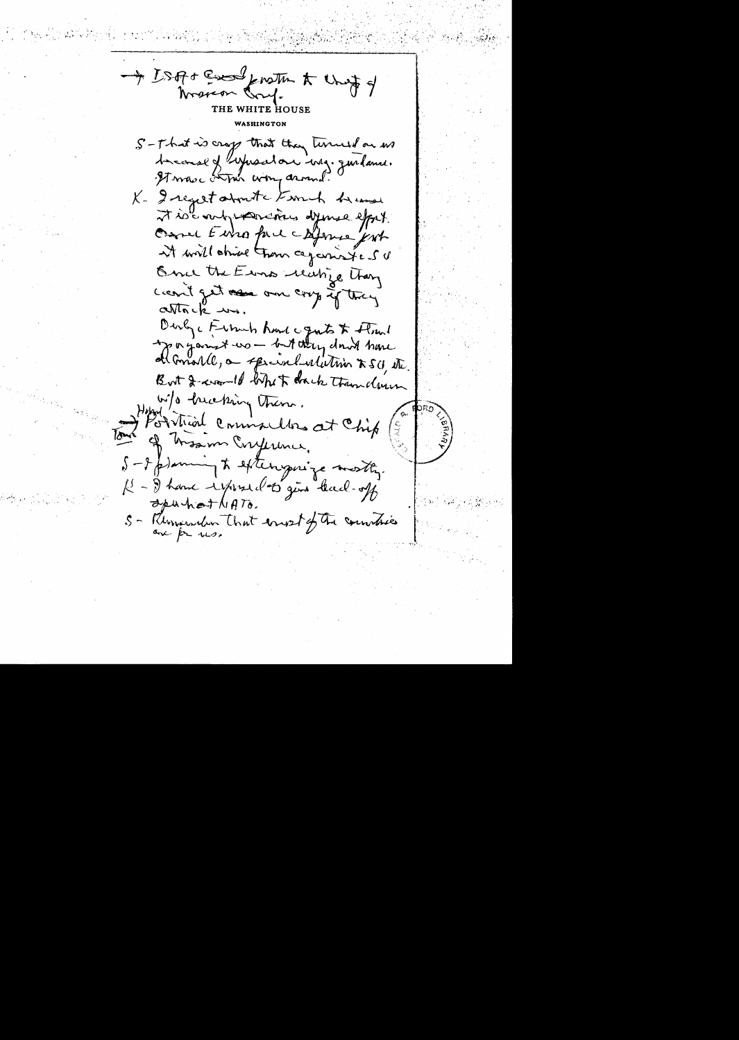- ISA+ Every from to thet of Marcon Cond. THE WHITE HOUSE WARITNCTON S-That is crop that they terried on us Americal of Lynsalon ing. guilance.<br>It was compared. K- I regest about the term of he cause it is any warding dyings effort. Case Europe copper jest at will shirt them caparistes of Once the Erns rechize Than Leavit get as one coop if they  $cn\sqrt{n}$ ck  $\rightarrow\rightarrow$ . Durby, Funnih Rund canto & Flowel apagament wo - but they don't have all Gonarde, a special relieving XSU, etc. But I want of white thank than down w/o heating them. Portriod commanders at Chip of hisson Crypsine, S-Ip) any to eftery aize mostly. K - I have expressed to gent thank-off apurticat NATO. S - Remainder That esset of the countries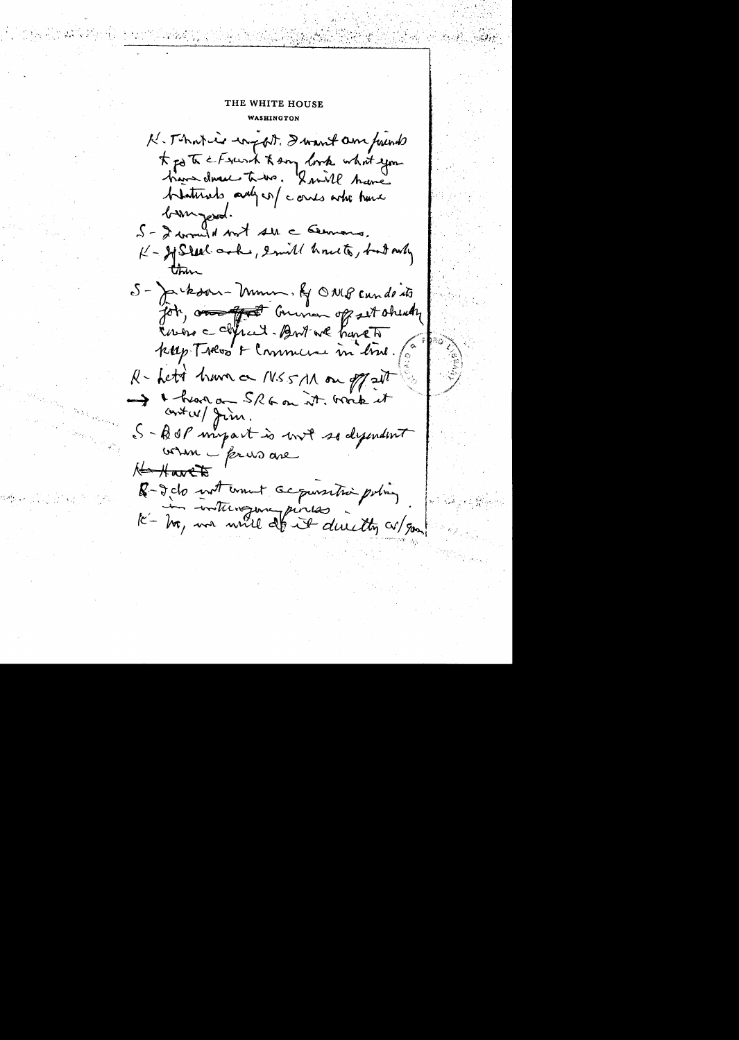**WASHINGTON** 

K-Thatier world, I want am frunds t po to e Frank to son look what you blattrats and conts who have bom resol. 5 - I would not see cleanous, K-HStal ask, smill houts, but only S-Jackson-Mumm. Ky ONG cundents Job, and that Commen of set obendy Enero capical-Britan have to kap Tress & Commune in time. (0 R- Letà have on MSSM on off at I hear an SRG on it. work it contex/ Jim. S-BOP myart is mit so dymunt when i prevs are Havets R-2 do not unet acquisition pointing K-In interegence pinces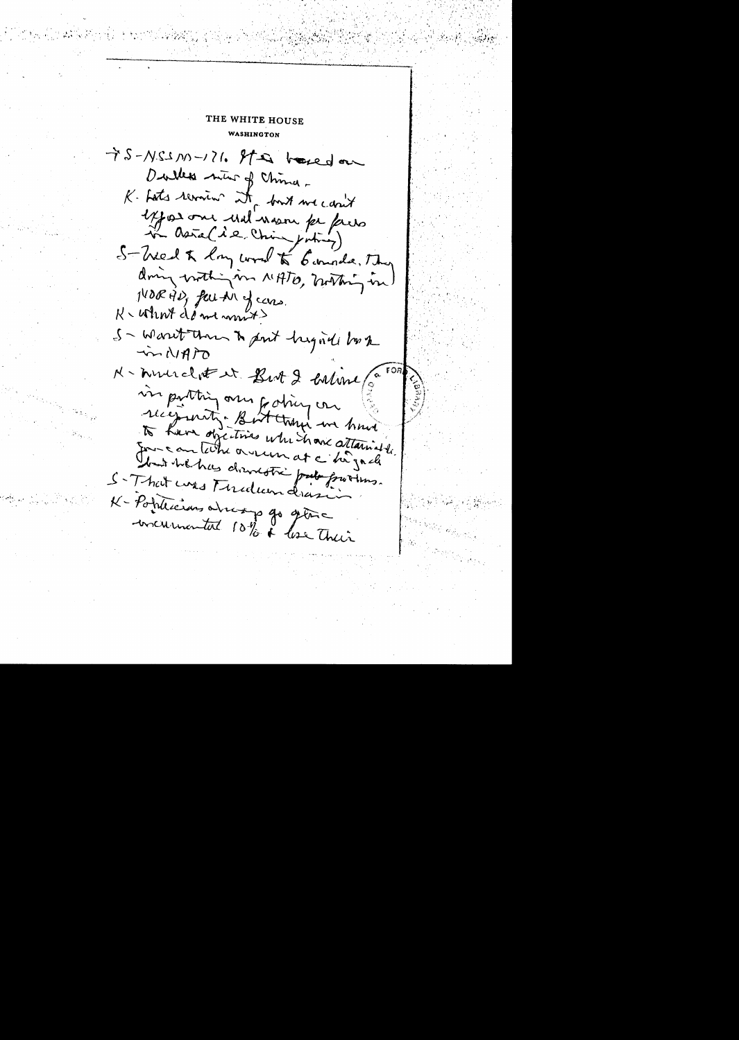## THE WHITE HOUSE WASHINGTON

75-NSSN1-171. It is based on Dulles min of China-K. Lats revision it fort we can't exposione und noon pe puis in asia (i.e. Ching juting) S-Wed X long word to Connole, The dring with in MATO, mothing in NORTID, fun Ar of cars. K - What de me mont? S-Warrit Than to put highed both in NATO N-murclette But 2 caline (a in portting over forting on recepteding But they in have to have objectives when have attained Journante the orderess at a highed that he has drenestic prete frotting. S-That was Finalum drasin K-Poplecias alreap 90 glas concurrental 10% & loss their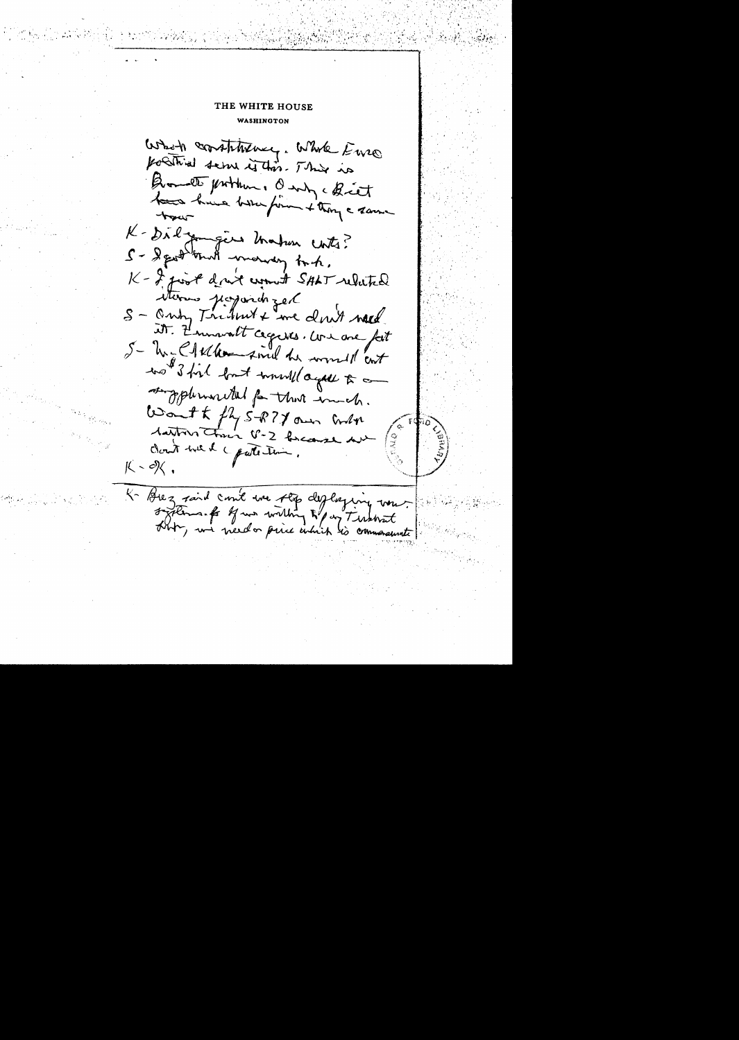## THE WHITE HOUSE WASHINGTON

Who's constitutive, while Euro positival serve in this. This is Quanto problem. Only a Breat have have been form + thong a same K-Dick Jamgers Unahan contro? S- Sept mit ment that. K- I just dont wount SALT related Sterns projoint et it. Z'mmout cegures. We are fait S- M= C/11 the find he would cont wo I fil fort would agal to an supplemental for that ind. Want to fly 5-877 own when tarton there V-2 forces Cloud with a partition.  $K - X$ 

K-Brez said comt une step des lagenciers vons